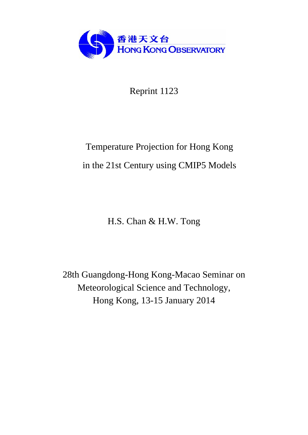

Reprint 1123

# Temperature Projection for Hong Kong in the 21st Century using CMIP5 Models

H.S. Chan & H.W. Tong

28th Guangdong-Hong Kong-Macao Seminar on Meteorological Science and Technology, Hong Kong, 13-15 January 2014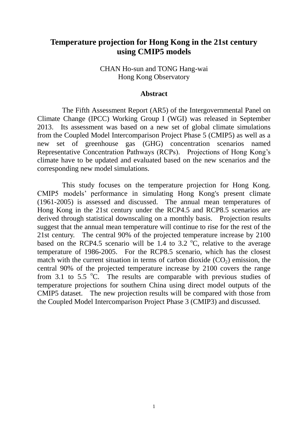# **Temperature projection for Hong Kong in the 21st century using CMIP5 models**

### CHAN Ho-sun and TONG Hang-wai Hong Kong Observatory

#### **Abstract**

The Fifth Assessment Report (AR5) of the Intergovernmental Panel on Climate Change (IPCC) Working Group I (WGI) was released in September 2013. Its assessment was based on a new set of global climate simulations from the Coupled Model Intercomparison Project Phase 5 (CMIP5) as well as a new set of greenhouse gas (GHG) concentration scenarios named Representative Concentration Pathways (RCPs). Projections of Hong Kong's climate have to be updated and evaluated based on the new scenarios and the corresponding new model simulations.

This study focuses on the temperature projection for Hong Kong. CMIP5 models' performance in simulating Hong Kong's present climate (1961-2005) is assessed and discussed. The annual mean temperatures of Hong Kong in the 21st century under the RCP4.5 and RCP8.5 scenarios are derived through statistical downscaling on a monthly basis. Projection results suggest that the annual mean temperature will continue to rise for the rest of the 21st century. The central 90% of the projected temperature increase by 2100 based on the RCP4.5 scenario will be 1.4 to 3.2  $\degree$ C, relative to the average temperature of 1986-2005. For the RCP8.5 scenario, which has the closest match with the current situation in terms of carbon dioxide  $(CO<sub>2</sub>)$  emission, the central 90% of the projected temperature increase by 2100 covers the range from 3.1 to 5.5  $\mathrm{^{\circ}C}$ . The results are comparable with previous studies of temperature projections for southern China using direct model outputs of the CMIP5 dataset. The new projection results will be compared with those from the Coupled Model Intercomparison Project Phase 3 (CMIP3) and discussed.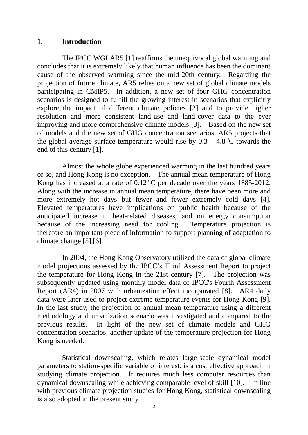#### **1. Introduction**

The IPCC WGI AR5 [1] reaffirms the unequivocal global warming and concludes that it is extremely likely that human influence has been the dominant cause of the observed warming since the mid-20th century. Regarding the projection of future climate, AR5 relies on a new set of global climate models participating in CMIP5. In addition, a new set of four GHG concentration scenarios is designed to fulfill the growing interest in scenarios that explicitly explore the impact of different climate policies [2] and to provide higher resolution and more consistent land-use and land-cover data to the ever improving and more comprehensive climate models [3]. Based on the new set of models and the new set of GHG concentration scenarios, AR5 projects that the global average surface temperature would rise by  $0.3 - 4.8\degree C$  towards the end of this century [1].

Almost the whole globe experienced warming in the last hundred years or so, and Hong Kong is no exception. The annual mean temperature of Hong Kong has increased at a rate of  $0.12 \degree$ C per decade over the years 1885-2012. Along with the increase in annual mean temperature, there have been more and more extremely hot days but fewer and fewer extremely cold days [4]. Elevated temperatures have implications on public health because of the anticipated increase in heat-related diseases, and on energy consumption because of the increasing need for cooling. Temperature projection is therefore an important piece of information to support planning of adaptation to climate change [5],[6].

In 2004, the Hong Kong Observatory utilized the data of global climate model projections assessed by the IPCC's Third Assessment Report to project the temperature for Hong Kong in the 21st century [7]. The projection was subsequently updated using monthly model data of IPCC's Fourth Assessment Report (AR4) in 2007 with urbanization effect incorporated [8]. AR4 daily data were later used to project extreme temperature events for Hong Kong [9]. In the last study, the projection of annual mean temperature using a different methodology and urbanization scenario was investigated and compared to the previous results. In light of the new set of climate models and GHG concentration scenarios, another update of the temperature projection for Hong Kong is needed.

Statistical downscaling, which relates large-scale dynamical model parameters to station-specific variable of interest, is a cost effective approach in studying climate projection. It requires much less computer resources than dynamical downscaling while achieving comparable level of skill [10]. In line with previous climate projection studies for Hong Kong, statistical downscaling is also adopted in the present study.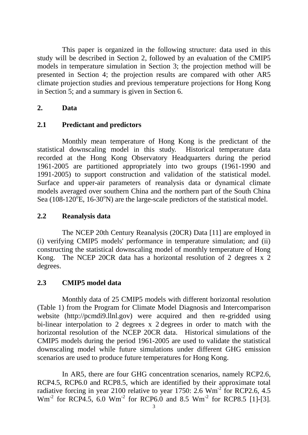This paper is organized in the following structure: data used in this study will be described in Section 2, followed by an evaluation of the CMIP5 models in temperature simulation in Section 3; the projection method will be presented in Section 4; the projection results are compared with other AR5 climate projection studies and previous temperature projections for Hong Kong in Section 5; and a summary is given in Section 6.

## **2. Data**

## **2.1 Predictant and predictors**

Monthly mean temperature of Hong Kong is the predictant of the statistical downscaling model in this study. Historical temperature data recorded at the Hong Kong Observatory Headquarters during the period 1961-2005 are partitioned appropriately into two groups (1961-1990 and 1991-2005) to support construction and validation of the statistical model. Surface and upper-air parameters of reanalysis data or dynamical climate models averaged over southern China and the northern part of the South China Sea (108-120 $\mathrm{^oE}$ , 16-30 $\mathrm{^oN}$ ) are the large-scale predictors of the statistical model.

## **2.2 Reanalysis data**

The NCEP 20th Century Reanalysis (20CR) Data [11] are employed in (i) verifying CMIP5 models' performance in temperature simulation; and (ii) constructing the statistical downscaling model of monthly temperature of Hong Kong. The NCEP 20CR data has a horizontal resolution of 2 degrees x 2 degrees.

# **2.3 CMIP5 model data**

Monthly data of 25 CMIP5 models with different horizontal resolution (Table 1) from the Program for Climate Model Diagnosis and Intercomparison website (http://pcmdi9.llnl.gov) were acquired and then re-gridded using bi-linear interpolation to 2 degrees x 2 degrees in order to match with the horizontal resolution of the NCEP 20CR data. Historical simulations of the CMIP5 models during the period 1961-2005 are used to validate the statistical downscaling model while future simulations under different GHG emission scenarios are used to produce future temperatures for Hong Kong.

In AR5, there are four GHG concentration scenarios, namely RCP2.6, RCP4.5, RCP6.0 and RCP8.5, which are identified by their approximate total radiative forcing in year 2100 relative to year 1750: 2.6  $Wm^{-2}$  for RCP2.6, 4.5  $\text{Wm}^2$  for RCP4.5, 6.0  $\text{Wm}^2$  for RCP6.0 and 8.5  $\text{Wm}^2$  for RCP8.5 [1]-[3].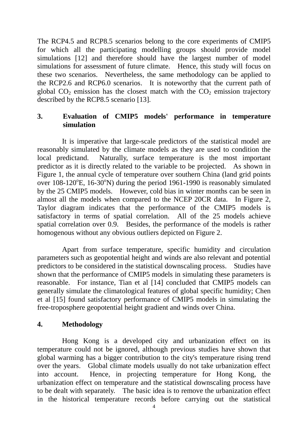The RCP4.5 and RCP8.5 scenarios belong to the core experiments of CMIP5 for which all the participating modelling groups should provide model simulations [12] and therefore should have the largest number of model simulations for assessment of future climate. Hence, this study will focus on these two scenarios. Nevertheless, the same methodology can be applied to the RCP2.6 and RCP6.0 scenarios. It is noteworthy that the current path of global  $CO<sub>2</sub>$  emission has the closest match with the  $CO<sub>2</sub>$  emission trajectory described by the RCP8.5 scenario [13].

## **3. Evaluation of CMIP5 models' performance in temperature simulation**

It is imperative that large-scale predictors of the statistical model are reasonably simulated by the climate models as they are used to condition the local predictand. Naturally, surface temperature is the most important predictor as it is directly related to the variable to be projected. As shown in Figure 1, the annual cycle of temperature over southern China (land grid points over 108-120°E, 16-30°N) during the period 1961-1990 is reasonably simulated by the 25 CMIP5 models. However, cold bias in winter months can be seen in almost all the models when compared to the NCEP 20CR data. In Figure 2, Taylor diagram indicates that the performance of the CMIP5 models is satisfactory in terms of spatial correlation. All of the 25 models achieve spatial correlation over 0.9. Besides, the performance of the models is rather homogenous without any obvious outliers depicted on Figure 2.

Apart from surface temperature, specific humidity and circulation parameters such as geopotential height and winds are also relevant and potential predictors to be considered in the statistical downscaling process. Studies have shown that the performance of CMIP5 models in simulating these parameters is reasonable. For instance, Tian et al [14] concluded that CMIP5 models can generally simulate the climatological features of global specific humidity; Chen et al [15] found satisfactory performance of CMIP5 models in simulating the free-troposphere geopotential height gradient and winds over China.

## **4. Methodology**

Hong Kong is a developed city and urbanization effect on its temperature could not be ignored, although previous studies have shown that global warming has a bigger contribution to the city's temperature rising trend over the years. Global climate models usually do not take urbanization effect into account. Hence, in projecting temperature for Hong Kong, the urbanization effect on temperature and the statistical downscaling process have to be dealt with separately. The basic idea is to remove the urbanization effect in the historical temperature records before carrying out the statistical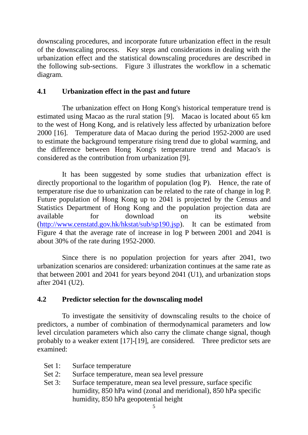downscaling procedures, and incorporate future urbanization effect in the result of the downscaling process. Key steps and considerations in dealing with the urbanization effect and the statistical downscaling procedures are described in the following sub-sections. Figure 3 illustrates the workflow in a schematic diagram.

## **4.1 Urbanization effect in the past and future**

The urbanization effect on Hong Kong's historical temperature trend is estimated using Macao as the rural station [9]. Macao is located about 65 km to the west of Hong Kong, and is relatively less affected by urbanization before 2000 [16]. Temperature data of Macao during the period 1952-2000 are used to estimate the background temperature rising trend due to global warming, and the difference between Hong Kong's temperature trend and Macao's is considered as the contribution from urbanization [9].

It has been suggested by some studies that urbanization effect is directly proportional to the logarithm of population (log P). Hence, the rate of temperature rise due to urbanization can be related to the rate of change in log P. Future population of Hong Kong up to 2041 is projected by the Census and Statistics Department of Hong Kong and the population projection data are available for download on its website [\(http://www.censtatd.gov.hk/hkstat/sub/sp190.jsp\)](http://www.censtatd.gov.hk/hkstat/sub/sp190.jsp?productCode=B1120015). It can be estimated from Figure 4 that the average rate of increase in log P between 2001 and 2041 is about 30% of the rate during 1952-2000.

Since there is no population projection for years after 2041, two urbanization scenarios are considered: urbanization continues at the same rate as that between 2001 and 2041 for years beyond 2041 (U1), and urbanization stops after 2041 (U2).

# **4.2 Predictor selection for the downscaling model**

To investigate the sensitivity of downscaling results to the choice of predictors, a number of combination of thermodynamical parameters and low level circulation parameters which also carry the climate change signal, though probably to a weaker extent [17]-[19], are considered. Three predictor sets are examined:

- Set 1: Surface temperature
- Set 2: Surface temperature, mean sea level pressure
- Set 3: Surface temperature, mean sea level pressure, surface specific humidity, 850 hPa wind (zonal and meridional), 850 hPa specific humidity, 850 hPa geopotential height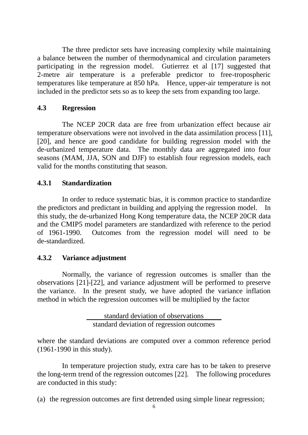The three predictor sets have increasing complexity while maintaining a balance between the number of thermodynamical and circulation parameters participating in the regression model. Gutierrez et al [17] suggested that 2-metre air temperature is a preferable predictor to free-tropospheric temperatures like temperature at 850 hPa. Hence, upper-air temperature is not included in the predictor sets so as to keep the sets from expanding too large.

## **4.3 Regression**

The NCEP 20CR data are free from urbanization effect because air temperature observations were not involved in the data assimilation process [11], [20], and hence are good candidate for building regression model with the de-urbanized temperature data. The monthly data are aggregated into four seasons (MAM, JJA, SON and DJF) to establish four regression models, each valid for the months constituting that season.

## **4.3.1 Standardization**

In order to reduce systematic bias, it is common practice to standardize the predictors and predictant in building and applying the regression model. In this study, the de-urbanized Hong Kong temperature data, the NCEP 20CR data and the CMIP5 model parameters are standardized with reference to the period of 1961-1990. Outcomes from the regression model will need to be de-standardized.

# **4.3.2 Variance adjustment**

Normally, the variance of regression outcomes is smaller than the observations [21]-[22], and variance adjustment will be performed to preserve the variance. In the present study, we have adopted the variance inflation method in which the regression outcomes will be multiplied by the factor

> standard deviation of observations standard deviation of regression outcomes

where the standard deviations are computed over a common reference period (1961-1990 in this study).

In temperature projection study, extra care has to be taken to preserve the long-term trend of the regression outcomes [22]. The following procedures are conducted in this study:

(a) the regression outcomes are first detrended using simple linear regression;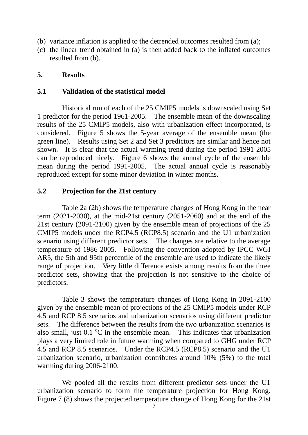- (b) variance inflation is applied to the detrended outcomes resulted from (a);
- (c) the linear trend obtained in (a) is then added back to the inflated outcomes resulted from (b).

## **5. Results**

## **5.1 Validation of the statistical model**

Historical run of each of the 25 CMIP5 models is downscaled using Set 1 predictor for the period 1961-2005. The ensemble mean of the downscaling results of the 25 CMIP5 models, also with urbanization effect incorporated, is considered. Figure 5 shows the 5-year average of the ensemble mean (the green line). Results using Set 2 and Set 3 predictors are similar and hence not shown. It is clear that the actual warming trend during the period 1991-2005 can be reproduced nicely. Figure 6 shows the annual cycle of the ensemble mean during the period 1991-2005. The actual annual cycle is reasonably reproduced except for some minor deviation in winter months.

## **5.2 Projection for the 21st century**

Table 2a (2b) shows the temperature changes of Hong Kong in the near term (2021-2030), at the mid-21st century (2051-2060) and at the end of the 21st century (2091-2100) given by the ensemble mean of projections of the 25 CMIP5 models under the RCP4.5 (RCP8.5) scenario and the U1 urbanization scenario using different predictor sets. The changes are relative to the average temperature of 1986-2005. Following the convention adopted by IPCC WGI AR5, the 5th and 95th percentile of the ensemble are used to indicate the likely range of projection. Very little difference exists among results from the three predictor sets, showing that the projection is not sensitive to the choice of predictors.

Table 3 shows the temperature changes of Hong Kong in 2091-2100 given by the ensemble mean of projections of the 25 CMIP5 models under RCP 4.5 and RCP 8.5 scenarios and urbanization scenarios using different predictor sets. The difference between the results from the two urbanization scenarios is also small, just  $0.1 \text{ °C}$  in the ensemble mean. This indicates that urbanization plays a very limited role in future warming when compared to GHG under RCP 4.5 and RCP 8.5 scenarios. Under the RCP4.5 (RCP8.5) scenario and the U1 urbanization scenario, urbanization contributes around 10% (5%) to the total warming during 2006-2100.

We pooled all the results from different predictor sets under the U1 urbanization scenario to form the temperature projection for Hong Kong. Figure 7 (8) shows the projected temperature change of Hong Kong for the 21st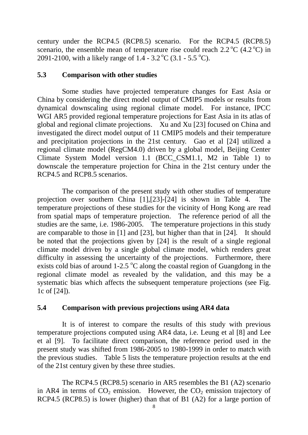century under the RCP4.5 (RCP8.5) scenario. For the RCP4.5 (RCP8.5) scenario, the ensemble mean of temperature rise could reach  $2.2 \degree C$  (4.2  $\degree C$ ) in 2091-2100, with a likely range of  $1.4 - 3.2 \degree C$  (3.1 - 5.5  $\degree C$ ).

#### **5.3 Comparison with other studies**

Some studies have projected temperature changes for East Asia or China by considering the direct model output of CMIP5 models or results from dynamical downscaling using regional climate model. For instance, IPCC WGI AR5 provided regional temperature projections for East Asia in its atlas of global and regional climate projections. Xu and Xu [23] focused on China and investigated the direct model output of 11 CMIP5 models and their temperature and precipitation projections in the 21st century. Gao et al [24] utilized a regional climate model (RegCM4.0) driven by a global model, Beijing Center Climate System Model version 1.1 (BCC\_CSM1.1, M2 in Table 1) to downscale the temperature projection for China in the 21st century under the RCP4.5 and RCP8.5 scenarios.

The comparison of the present study with other studies of temperature projection over southern China [1],[23]-[24] is shown in Table 4. The temperature projections of these studies for the vicinity of Hong Kong are read from spatial maps of temperature projection. The reference period of all the studies are the same, i.e. 1986-2005. The temperature projections in this study are comparable to those in [1] and [23], but higher than that in [24]. It should be noted that the projections given by [24] is the result of a single regional climate model driven by a single global climate model, which renders great difficulty in assessing the uncertainty of the projections. Furthermore, there exists cold bias of around  $1\textrm{-}2.5\,^{\circ}\textrm{C}$  along the coastal region of Guangdong in the regional climate model as revealed by the validation, and this may be a systematic bias which affects the subsequent temperature projections (see Fig. 1c of [24]).

## **5.4 Comparison with previous projections using AR4 data**

It is of interest to compare the results of this study with previous temperature projections computed using AR4 data, i.e. Leung et al [8] and Lee et al [9]. To facilitate direct comparison, the reference period used in the present study was shifted from 1986-2005 to 1980-1999 in order to match with the previous studies. Table 5 lists the temperature projection results at the end of the 21st century given by these three studies.

The RCP4.5 (RCP8.5) scenario in AR5 resembles the B1 (A2) scenario in AR4 in terms of  $CO_2$  emission. However, the  $CO_2$  emission trajectory of RCP4.5 (RCP8.5) is lower (higher) than that of B1 (A2) for a large portion of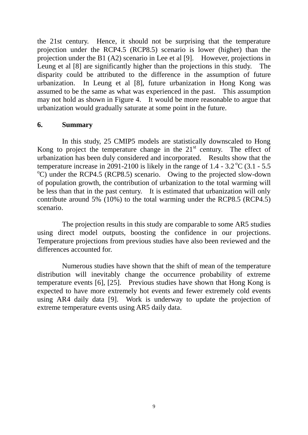the 21st century. Hence, it should not be surprising that the temperature projection under the RCP4.5 (RCP8.5) scenario is lower (higher) than the projection under the B1 (A2) scenario in Lee et al [9]. However, projections in Leung et al [8] are significantly higher than the projections in this study. The disparity could be attributed to the difference in the assumption of future urbanization. In Leung et al [8], future urbanization in Hong Kong was assumed to be the same as what was experienced in the past. This assumption may not hold as shown in Figure 4. It would be more reasonable to argue that urbanization would gradually saturate at some point in the future.

#### **6. Summary**

In this study, 25 CMIP5 models are statistically downscaled to Hong Kong to project the temperature change in the  $21<sup>st</sup>$  century. The effect of urbanization has been duly considered and incorporated. Results show that the temperature increase in 2091-2100 is likely in the range of  $1.4 - 3.2 \degree$ C (3.1 - 5.5)  $^{\circ}$ C) under the RCP4.5 (RCP8.5) scenario. Owing to the projected slow-down of population growth, the contribution of urbanization to the total warming will be less than that in the past century. It is estimated that urbanization will only contribute around 5% (10%) to the total warming under the RCP8.5 (RCP4.5) scenario.

The projection results in this study are comparable to some AR5 studies using direct model outputs, boosting the confidence in our projections. Temperature projections from previous studies have also been reviewed and the differences accounted for.

Numerous studies have shown that the shift of mean of the temperature distribution will inevitably change the occurrence probability of extreme temperature events [6], [25]. Previous studies have shown that Hong Kong is expected to have more extremely hot events and fewer extremely cold events using AR4 daily data [9]. Work is underway to update the projection of extreme temperature events using AR5 daily data.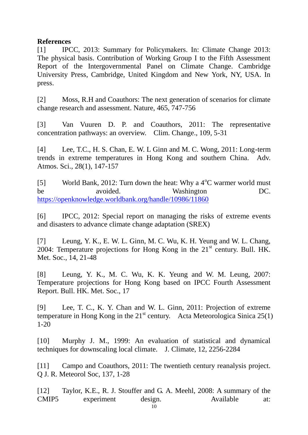## **References**

[1] IPCC, 2013: Summary for Policymakers. In: Climate Change 2013: The physical basis. Contribution of Working Group I to the Fifth Assessment Report of the Intergovernmental Panel on Climate Change. Cambridge University Press, Cambridge, United Kingdom and New York, NY, USA. In press.

[2] Moss, R.H and Coauthors: The next generation of scenarios for climate change research and assessment. Nature, 465, 747-756

[3] Van Vuuren D. P. and Coauthors, 2011: The representative concentration pathways: an overview. Clim. Change., 109, 5-31

[4] Lee, T.C., H. S. Chan, E. W. L Ginn and M. C. Wong, 2011: Long-term trends in extreme temperatures in Hong Kong and southern China. Adv. Atmos. Sci., 28(1), 147-157

[5] World Bank, 2012: Turn down the heat: Why a  $4^{\circ}$ C warmer world must be avoided. Washington DC. <https://openknowledge.worldbank.org/handle/10986/11860>

[6] IPCC, 2012: Special report on managing the risks of extreme events and disasters to advance climate change adaptation (SREX)

[7] Leung, Y. K., E. W. L. Ginn, M. C. Wu, K. H. Yeung and W. L. Chang, 2004: Temperature projections for Hong Kong in the  $21<sup>st</sup>$  century. Bull. HK. Met. Soc., 14, 21-48

[8] Leung, Y. K., M. C. Wu, K. K. Yeung and W. M. Leung, 2007: Temperature projections for Hong Kong based on IPCC Fourth Assessment Report. Bull. HK. Met. Soc., 17

[9] Lee, T. C., K. Y. Chan and W. L. Ginn, 2011: Projection of extreme temperature in Hong Kong in the  $21<sup>st</sup>$  century. Acta Meteorologica Sinica 25(1) 1-20

[10] Murphy J. M., 1999: An evaluation of statistical and dynamical techniques for downscaling local climate. J. Climate, 12, 2256-2284

[11] Campo and Coauthors, 2011: The twentieth century reanalysis project. Q J. R. Meteorol Soc, 137, 1-28

[12] Taylor, K.E., R. J. Stouffer and G. A. Meehl, 2008: A summary of the CMIP5 experiment design. Available at: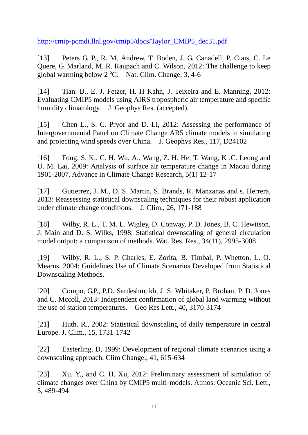[http://cmip-pcmdi.llnl.gov/cmip5/docs/Taylor\\_CMIP5\\_dec31.pdf](http://cmip-pcmdi.llnl.gov/cmip5/docs/Taylor_CMIP5_dec31.pdf)

[13] Peters G. P., R. M. Andrew, T. Boden, J. G. Canadell, P. Ciais, C. Le Quere, G. Marland, M. R. Raupach and C. Wilson, 2012: The challenge to keep global warming below  $2^{\circ}$ C. Nat. Clim. Change, 3, 4-6

[14] Tian. B., E. J. Fetzer, H. H Kahn, J. Teixeira and E. Manning, 2012: Evaluating CMIP5 models using AIRS tropospheric air temperature and specific humidity climatology. J. Geophys Res. (accepted).

[15] Chen L., S. C. Pryor and D. Li, 2012: Assessing the performance of Intergovernmental Panel on Climate Change AR5 climate models in simulating and projecting wind speeds over China. J. Geophys Res., 117, D24102

[16] Fong, S. K., C. H. Wu, A., Wang, Z. H. He, T. Wang, K .C. Leong and U. M. Lai, 2009: Analysis of surface air temperature change in Macau during 1901-2007. Advance in Climate Change Research, 5(1) 12-17

[17] Gutierrez, J. M., D. S. Martin, S. Brands, R. Manzanas and s. Herrera, 2013: Reassessing statistical downscaling techniques for their robust application under climate change conditions. J. Clim., 26, 171-188

[18] Wilby, R. L., T. M. L. Wigley, D. Conway, P. D. Jones, B. C. Hewitson, J. Main and D. S. Wilks, 1998: Statistical downscaling of general circulation model output: a comparison of methods. Wat. Res. Res., 34(11), 2995-3008

[19] Wilby, R. L., S. P. Charles, E. Zorita, B. Timbal, P. Whetton, L. O. Mearns, 2004: Guidelines Use of Climate Scenarios Developed from Statistical Downscaling Methods.

[20] Compo, G.P., P.D. Sardeshmukh, J. S. Whitaker, P. Brohan, P. D. Jones and C. Mccoll, 2013: Independent confirmation of global land warming without the use of station temperatures. Geo Res Lett., 40, 3170-3174

[21] Huth. R., 2002: Statistical downscaling of daily temperature in central Europe. J. Clim., 15, 1731-1742

[22] Easterling. D, 1999: Development of regional climate scenarios using a downscaling approach. Clim Change., 41, 615-634

[23] Xu. Y., and C. H. Xu, 2012: Preliminary assessment of simulation of climate changes over China by CMIP5 multi-models. Atmos. Oceanic Sci. Lett., 5, 489-494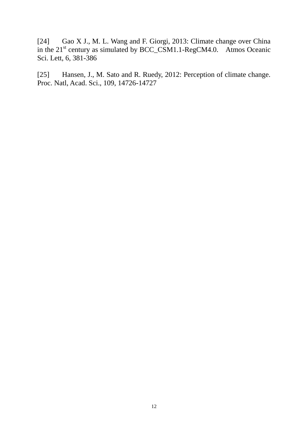[24] Gao X J., M. L. Wang and F. Giorgi, 2013: Climate change over China in the  $21^{st}$  century as simulated by BCC\_CSM1.1-RegCM4.0. Atmos Oceanic Sci. Lett, 6, 381-386

[25] Hansen, J., M. Sato and R. Ruedy, 2012: Perception of climate change. Proc. Natl, Acad. Sci., 109, 14726-14727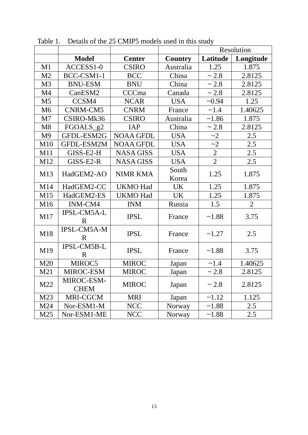|                 |                                   |                  |                | Resolution     |                |
|-----------------|-----------------------------------|------------------|----------------|----------------|----------------|
|                 | <b>Model</b>                      | <b>Center</b>    | <b>Country</b> | Latitude       | Longitude      |
| M1              | ACCESS1-0                         | <b>CSIRO</b>     | Australia      | 1.25           | 1.875          |
| M <sub>2</sub>  | BCC-CSM1-1                        | <b>BCC</b>       | China          | ~2.8           | 2.8125         |
| M <sub>3</sub>  | <b>BNU-ESM</b>                    | <b>BNU</b>       | China          | ~2.8           | 2.8125         |
| M <sub>4</sub>  | CanESM2                           | CCCma            | Canada         | ~2.8           | 2.8125         |
| M <sub>5</sub>  | CCSM4                             | <b>NCAR</b>      | <b>USA</b>     | ~10.94         | 1.25           |
| M <sub>6</sub>  | CNRM-CM5                          | <b>CNRM</b>      | France         | ~1.4           | 1.40625        |
| M <sub>7</sub>  | CSIRO-Mk36                        | <b>CSIRO</b>     | Australia      | ~1.86          | 1.875          |
| M8              | FGOALS_g2                         | <b>IAP</b>       | China          | ~2.8           | 2.8125         |
| M <sub>9</sub>  | GFDL-ESM2G                        | <b>NOAA GFDL</b> | <b>USA</b>     | $\sim$ 2       | 2.5            |
| M10             | <b>GFDL-ESM2M</b>                 | <b>NOAA GFDL</b> | <b>USA</b>     | $\sim$ 2       | 2.5            |
| M11             | GISS-E2-H                         | <b>NASA GISS</b> | <b>USA</b>     | $\overline{2}$ | 2.5            |
| M12             | GISS-E2-R                         | <b>NASA GISS</b> | <b>USA</b>     | $\overline{2}$ | 2.5            |
| M13             | HadGEM2-AO                        | <b>NIMR KMA</b>  | South<br>Korea | 1.25           | 1.875          |
| M14             | HadGEM2-CC                        | <b>UKMO Had</b>  | <b>UK</b>      | 1.25           | 1.875          |
| M15             | HadGEM2-ES                        | <b>UKMO Had</b>  | <b>UK</b>      | 1.25           | 1.875          |
| M16             | INM-CM4                           | <b>INM</b>       | Russia         | 1.5            | $\overline{2}$ |
| M17             | IPSL-CM5A-L<br>R                  | <b>IPSL</b>      | France         | ~1.88          | 3.75           |
| M18             | <b>IPSL-CM5A-M</b><br>$\mathbf R$ | <b>IPSL</b>      | France         | ~1.27          | 2.5            |
| M19             | IPSL-CM5B-L<br>$\mathbf R$        | <b>IPSL</b>      | France         | ~1.88          | 3.75           |
| M20             | MIROC5                            | <b>MIROC</b>     | Japan          | ~1.4           | 1.40625        |
| M21             | MIROC-ESM                         | <b>MIROC</b>     | Japan          | ~2.8           | 2.8125         |
| M22             | MIROC-ESM-<br><b>CHEM</b>         | <b>MIROC</b>     | Japan          | ~2.8           | 2.8125         |
| M23             | MRI-CGCM                          | <b>MRI</b>       | Japan          | $-1.12$        | 1.125          |
| M24             | Nor-ESM1-M                        | <b>NCC</b>       | Norway         | ~1.88          | 2.5            |
| M <sub>25</sub> | Nor-ESM1-ME                       | <b>NCC</b>       | Norway         | ~1.88          | 2.5            |

Table 1. Details of the 25 CMIP5 models used in this study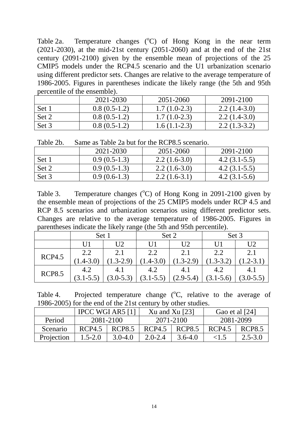Table 2a. Temperature changes  $(^{\circ}C)$  of Hong Kong in the near term  $(2021-2030)$ , at the mid-21st century  $(2051-2060)$  and at the end of the 21st century (2091-2100) given by the ensemble mean of projections of the 25 CMIP5 models under the RCP4.5 scenario and the U1 urbanization scenario using different predictor sets. Changes are relative to the average temperature of 1986-2005. Figures in parentheses indicate the likely range (the 5th and 95th percentile of the ensemble).

|       | 2021-2030      | 2051-2060      | 2091-2100      |
|-------|----------------|----------------|----------------|
| Set 1 | $0.8(0.5-1.2)$ | $1.7(1.0-2.3)$ | $2.2(1.4-3.0)$ |
| Set 2 | $0.8(0.5-1.2)$ | $1.7(1.0-2.3)$ | $2.2(1.4-3.0)$ |
| Set 3 | $0.8(0.5-1.2)$ | $1.6(1.1-2.3)$ | $2.2(1.3-3.2)$ |

Table 2b. Same as Table 2a but for the RCP8.5 scenario.

|       | 2021-2030      | 2051-2060      | 2091-2100      |
|-------|----------------|----------------|----------------|
| Set 1 | $0.9(0.5-1.3)$ | $2.2(1.6-3.0)$ | $4.2(3.1-5.5)$ |
| Set 2 | $0.9(0.5-1.3)$ | $2.2(1.6-3.0)$ | $4.2(3.1-5.5)$ |
| Set 3 | $0.9(0.6-1.3)$ | $2.2(1.6-3.1)$ | $4.2(3.1-5.6)$ |

Table 3. Temperature changes  $({}^{\circ}C)$  of Hong Kong in 2091-2100 given by the ensemble mean of projections of the 25 CMIP5 models under RCP 4.5 and RCP 8.5 scenarios and urbanization scenarios using different predictor sets. Changes are relative to the average temperature of 1986-2005. Figures in parentheses indicate the likely range (the 5th and 95th percentile).

|               | Set 1         |               | Set 2         |                      | Set 3         |             |  |
|---------------|---------------|---------------|---------------|----------------------|---------------|-------------|--|
|               | U1            | U2            | U1            | U <sub>2</sub><br>U1 |               | U2          |  |
| <b>RCP4.5</b> | 2.2           | 2.1           | 2.2           | 2.1                  | 2.2           |             |  |
|               | $[1.4 - 3.0]$ | $(1.3-2.9)$   | $.4 - 3.0$    | $(1.3 - 2.9)$        | $.3 - 3.2$    | $.2 - 3.1$  |  |
| <b>RCP8.5</b> | 4.2           | 4.1           | 4.2           | 4.1                  | 4.2           | 4.1         |  |
|               | $(3.1 - 5.5)$ | $(3.0 - 5.3)$ | $(3.1 - 5.5)$ | $(2.9 - 5.4)$        | $(3.1 - 5.6)$ | $(3.0-5.5)$ |  |

| Table 4. | Projected temperature change $({}^{\circ}C,$ relative to the average of |  |  |  |  |
|----------|-------------------------------------------------------------------------|--|--|--|--|
|          | 1986-2005) for the end of the 21st century by other studies.            |  |  |  |  |

|            |             | IPCC WGI AR5 $[1]$ |             | Xu and Xu $[23]$ | Gao et al [24] |               |  |
|------------|-------------|--------------------|-------------|------------------|----------------|---------------|--|
| Period     | 2081-2100   |                    |             | 2071-2100        | 2081-2099      |               |  |
| Scenario   | RCP4.5      | <b>RCP8.5</b>      | RCP4.5      | RCP8.5           | RCP4.5         | <b>RCP8.5</b> |  |
| Projection | $1.5 - 2.0$ | $3.0 - 4.0$        | $2.0 - 2.4$ | $3.6 - 4.0$      | $\leq$ 5       | $2.5 - 3.0$   |  |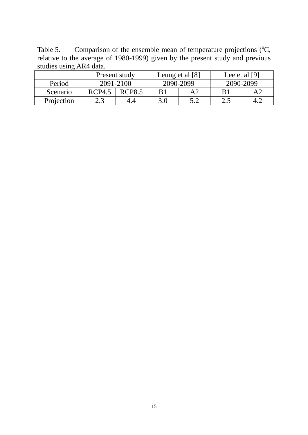Table 5. Comparison of the ensemble mean of temperature projections  $(^{\circ}C,$ relative to the average of 1980-1999) given by the present study and previous studies using AR4 data.

|            | Present study |               | Leung et al [8] |     | Lee et al $[9]$ |  |
|------------|---------------|---------------|-----------------|-----|-----------------|--|
| Period     | 2091-2100     |               | 2090-2099       |     | 2090-2099       |  |
| Scenario   | RCP4.5        | <b>RCP8.5</b> | B1              | A2  |                 |  |
| Projection | 2.3           |               | 3.0             | 5 つ | ے . ب           |  |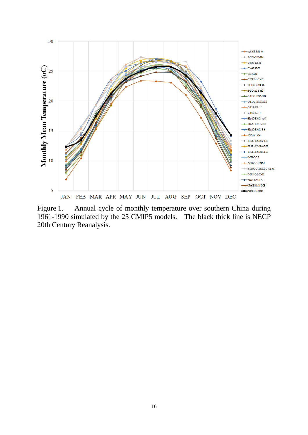

Figure 1. Annual cycle of monthly temperature over southern China during 1961-1990 simulated by the 25 CMIP5 models. The black thick line is NECP 20th Century Reanalysis.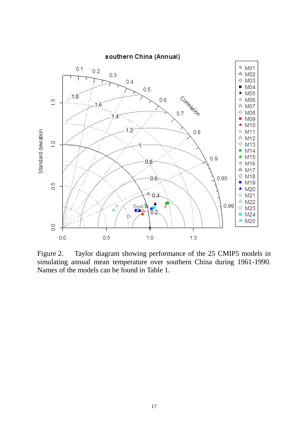

Figure 2. Taylor diagram showing performance of the 25 CMIP5 models in simulating annual mean temperature over southern China during 1961-1990. Names of the models can be found in Table 1.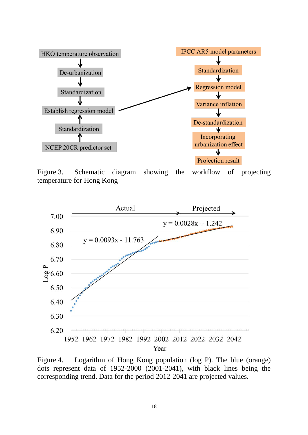

Figure 3. Schematic diagram showing the workflow of projecting temperature for Hong Kong



Figure 4. Logarithm of Hong Kong population (log P). The blue (orange) dots represent data of 1952-2000 (2001-2041), with black lines being the corresponding trend. Data for the period 2012-2041 are projected values.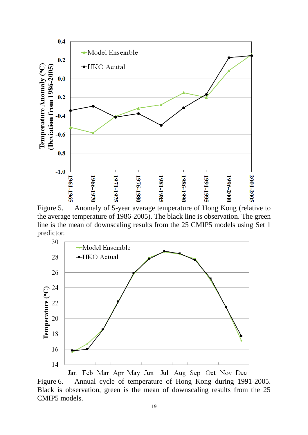

Figure 5. Anomaly of 5-year average temperature of Hong Kong (relative to the average temperature of 1986-2005). The black line is observation. The green line is the mean of downscaling results from the 25 CMIP5 models using Set 1 predictor.



Jan Feb Mar Apr May Jun Jul Aug Sep Oct Nov Dec Figure 6. Annual cycle of temperature of Hong Kong during 1991-2005. Black is observation, green is the mean of downscaling results from the 25 CMIP5 models.